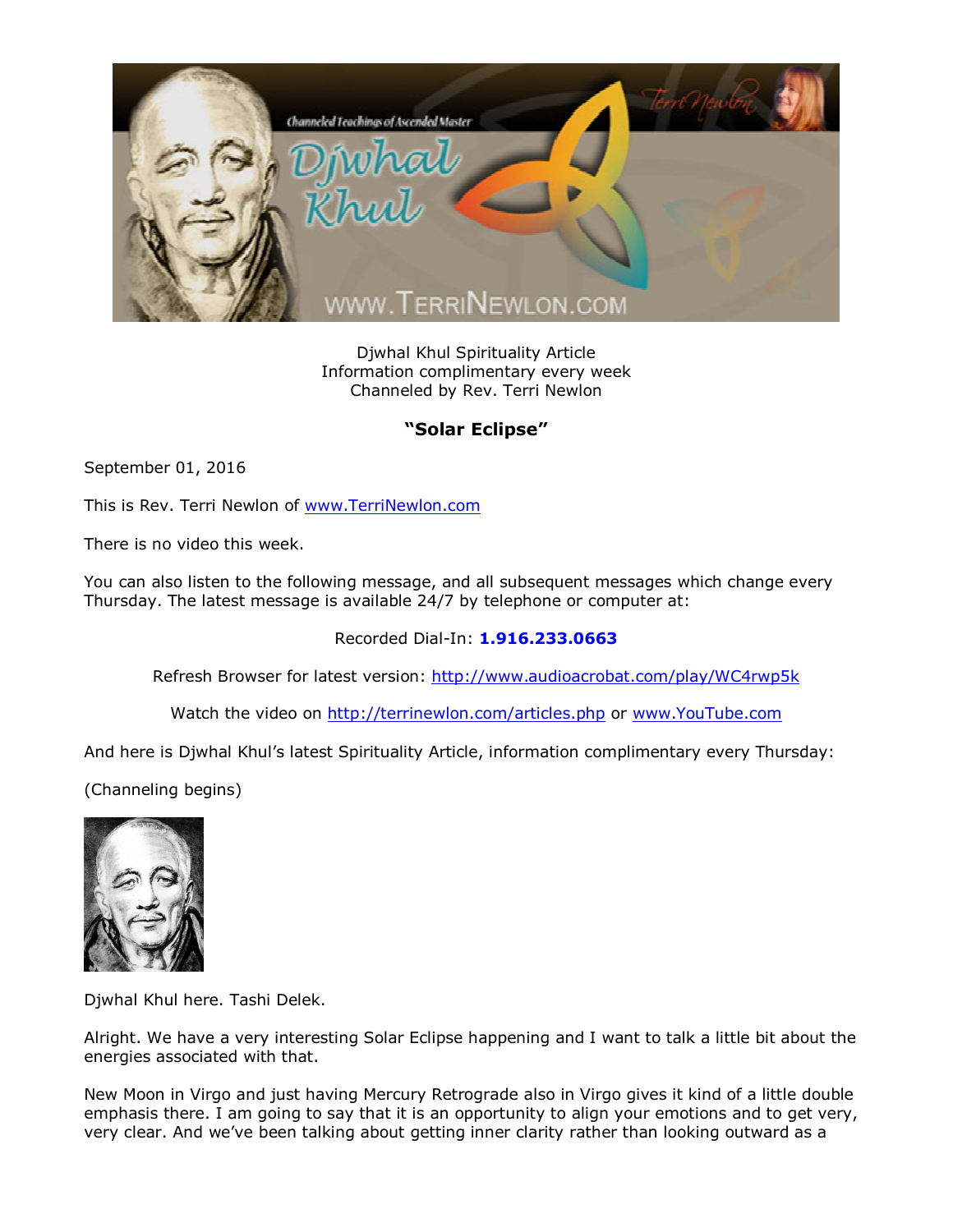

Djwhal Khul Spirituality Article Information complimentary every week Channeled by Rev. Terri Newlon

## **"Solar Eclipse"**

September 01, 2016

This is Rev. Terri Newlon of [www.TerriNewlon.com](http://www.terrinewlon.com/)

There is no video this week.

You can also listen to the following message, and all subsequent messages which change every Thursday. The latest message is available 24/7 by telephone or computer at:

Recorded Dial-In: **1.916.233.0663**

Refresh Browser for latest version: <http://www.audioacrobat.com/play/WC4rwp5k>

Watch the video on <http://terrinewlon.com/articles.php> or [www.YouTube.com](http://www.youtube.com/)

And here is Djwhal Khul's latest Spirituality Article, information complimentary every Thursday:

(Channeling begins)



Djwhal Khul here. Tashi Delek.

Alright. We have a very interesting Solar Eclipse happening and I want to talk a little bit about the energies associated with that.

New Moon in Virgo and just having Mercury Retrograde also in Virgo gives it kind of a little double emphasis there. I am going to say that it is an opportunity to align your emotions and to get very, very clear. And we've been talking about getting inner clarity rather than looking outward as a